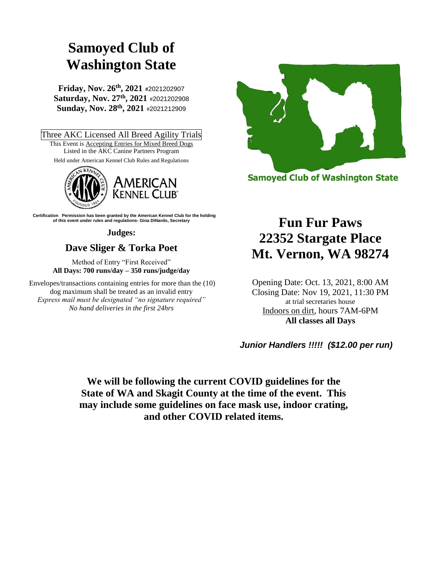# **Samoyed Club of Washington State**

**Friday, Nov. 26th, 2021 #**2021202907 **Saturday, Nov. 27th, 2021** #2021202908 **Sunday, Nov. 28th, 2021** #2021212909

Three AKC Licensed All Breed Agility Trials This Event is **Accepting Entries for Mixed Breed Dogs** Listed in the AKC Canine Partners Program Held under American Kennel Club Rules and Regulations



 **Certification Permission has been granted by the American Kennel Club for the holding of this event under rules and regulations- Gina DiNardo, Secretary**

**Judges:**

# **Dave Sliger & Torka Poet**

Method of Entry "First Received" **All Days: 700 runs/day – 350 runs/judge/day**

Envelopes/transactions containing entries for more than the (10) dog maximum shall be treated as an invalid entry *Express mail must be designated "no signature required" No hand deliveries in the first 24hrs*



**Samoyed Club of Washington State** 

# **Fun Fur Paws 22352 Stargate Place Mt. Vernon, WA 98274**

Opening Date: Oct. 13, 2021, 8:00 AM Closing Date: Nov 19, 2021, 11:30 PM at trial secretaries house Indoors on dirt, hours 7AM-6PM **All classes all Days**

*Junior Handlers !!!!! (\$12.00 per run)*

**We will be following the current COVID guidelines for the State of WA and Skagit County at the time of the event. This may include some guidelines on face mask use, indoor crating, and other COVID related items.**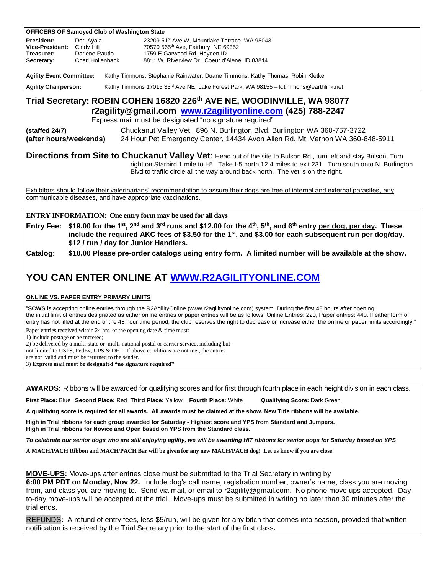|                                                                                                                                                                                                                                                      | <b>OFFICERS OF Samoyed Club of Washington State</b> |  |                                                           |  |  |  |
|------------------------------------------------------------------------------------------------------------------------------------------------------------------------------------------------------------------------------------------------------|-----------------------------------------------------|--|-----------------------------------------------------------|--|--|--|
| <b>President:</b>                                                                                                                                                                                                                                    | Dori Ayala                                          |  | 23209 51 <sup>st</sup> Ave W, Mountlake Terrace, WA 98043 |  |  |  |
| Vice-President:                                                                                                                                                                                                                                      | Cindy Hill                                          |  | 70570 565 <sup>th</sup> Ave, Fairbury, NE 69352           |  |  |  |
| Treasurer:                                                                                                                                                                                                                                           | Darlene Rautio                                      |  | 1759 E Garwood Rd, Hayden ID                              |  |  |  |
| Secretary:                                                                                                                                                                                                                                           | Cheri Hollenback                                    |  | 8811 W. Riverview Dr., Coeur d'Alene, ID 83814            |  |  |  |
| <b>Agility Event Committee:</b><br>Kathy Timmons, Stephanie Rainwater, Duane Timmons, Kathy Thomas, Robin Kletke<br>Kathy Timmons 17015 33 <sup>rd</sup> Ave NE, Lake Forest Park, WA 98155 - k.timmons@earthlink.net<br><b>Agility Chairperson:</b> |                                                     |  |                                                           |  |  |  |
| Trial Secretary: ROBIN COHEN 16820 226th AVE NE, WOODINVILLE, WA 98077<br>$-0.5 - 116.$ $-0.00 - 11.5 - 11.5 - 10.0$ $-0.116 - 11.5 - 10.0$ $-0.00$ $-0.017$                                                                                         |                                                     |  |                                                           |  |  |  |

**r2agility@gmail.com [www.r2agilityonline.com](http://www.r2agilityonline.com/) (425) 788-2247**

Express mail must be designated "no signature required"

**(staffed 24/7)** Chuckanut Valley Vet., 896 N. Burlington Blvd, Burlington WA 360-757-3722 **(after hours/weekends)** 24 Hour Pet Emergency Center, 14434 Avon Allen Rd. Mt. Vernon WA 360-848-5911

**Directions from Site to Chuckanut Valley Vet**: Head out of the site to Bulson Rd., turn left and stay Bulson. Turn right on Starbird 1 mile to I-5. Take I-5 north 12.4 miles to exit 231. Turn south onto N. Burlington Blvd to traffic circle all the way around back north. The vet is on the right.

Exhibitors should follow their veterinarians' recommendation to assure their dogs are free of internal and external parasites, any communicable diseases, and have appropriate vaccinations.

**ENTRY INFORMATION: One entry form may be used for all days**

**Entry Fee: \$19.00 for the 1st, 2nd and 3rd runs and \$12.00 for the 4th, 5th, and 6th entry per dog, per day. These include the required AKC fees of \$3.50 for the 1st, and \$3.00 for each subsequent run per dog/day. \$12 / run / day for Junior Handlers.**

**Catalog**: **\$10.00 Please pre-order catalogs using entry form. A limited number will be available at the show.**

# **YOU CAN ENTER ONLINE AT [WWW.R2AGILITYONLINE.COM](http://www.r2agilityonline.com/)**

**ONLINE VS. PAPER ENTRY PRIMARY LIMITS**

"**SCWS** is accepting online entries through the R2AgilityOnline (www.r2agilityonline.com) system. During the first 48 hours after opening, the initial limit of entries designated as either online entries or paper entries will be as follows: Online Entries: 220, Paper entries: 440. If either form of entry has not filled at the end of the 48 hour time period, the club reserves the right to decrease or increase either the online or paper limits accordingly."

Paper entries received within 24 hrs. of the opening date & time must:

1) include postage or be metered;

2) be delivered by a multi-state or multi-national postal or carrier service, including but

not limited to USPS, FedEx, UPS & DHL. If above conditions are not met, the entries

are not valid and must be returned to the sender.

3) **Express mail must be designated "no signature required"**

**AWARDS:** Ribbons will be awarded for qualifying scores and for first through fourth place in each height division in each class.

**First Place:** Blue **Second Place:** Red **Third Place:** Yellow **Fourth Place:** White **Qualifying Score:** Dark Green

**A qualifying score is required for all awards. All awards must be claimed at the show. New Title ribbons will be available.**

**High in Trial ribbons for each group awarded for Saturday - Highest score and YPS from Standard and Jumpers. High in Trial ribbons for Novice and Open based on YPS from the Standard class.**

*To celebrate our senior dogs who are still enjoying agility, we will be awarding HIT ribbons for senior dogs for Saturday based on YPS*

**A MACH/PACH Ribbon and MACH/PACH Bar will be given for any new MACH/PACH dog! Let us know if you are close!**

**MOVE-UPS:** Move-ups after entries close must be submitted to the Trial Secretary in writing by

**6:00 PM PDT on Monday, Nov 22.** Include dog's call name, registration number, owner's name, class you are moving from, and class you are moving to. Send via mail, or email to r2agility@gmail.com. No phone move ups accepted. Dayto-day move-ups will be accepted at the trial. Move-ups must be submitted in writing no later than 30 minutes after the trial ends.

REFUNDS**:** A refund of entry fees, less \$5/run, will be given for any bitch that comes into season, provided that written notification is received by the Trial Secretary prior to the start of the first class**.**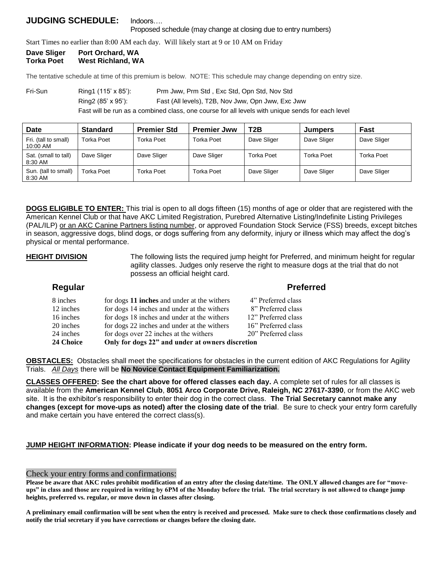# **JUDGING SCHEDULE:** Indoors…. Proposed schedule (may change at closing due to entry numbers)

Start Times no earlier than 8:00 AM each day. Will likely start at 9 or 10 AM on Friday

# **Dave Sliger Port Orchard, WA Torka Poet West Richland, WA**

The tentative schedule at time of this premium is below. NOTE: This schedule may change depending on entry size.

Fri-Sun Ring1 (115' x 85'): Prm Jww, Prm Std, Exc Std, Opn Std, Nov Std Ring2 (85' x 95'): Fast (All levels), T2B, Nov Jww, Opn Jww, Exc Jww

Fast will be run as a combined class, one course for all levels with unique sends for each level

| Date                             | <b>Standard</b>   | <b>Premier Std</b> | <b>Premier Jww</b> | T <sub>2</sub> B  | <b>Jumpers</b> | Fast        |
|----------------------------------|-------------------|--------------------|--------------------|-------------------|----------------|-------------|
| Fri. (tall to small)<br>10:00 AM | Torka Poet        | <b>Torka Poet</b>  | Torka Poet         | Dave Sliger       | Dave Sliger    | Dave Sliger |
| Sat. (small to tall)<br>8:30 AM  | Dave Sliger       | Dave Sliger        | Dave Sliger        | <b>Torka Poet</b> | Torka Poet     | Torka Poet  |
| Sun. (tall to small)<br>8:30 AM  | <b>Torka Poet</b> | <b>Torka Poet</b>  | Torka Poet         | Dave Sliger       | Dave Sliger    | Dave Sliger |

**DOGS ELIGIBLE TO ENTER:** This trial is open to all dogs fifteen (15) months of age or older that are registered with the American Kennel Club or that have AKC Limited Registration, Purebred Alternative Listing/Indefinite Listing Privileges (PAL/ILP) or an AKC Canine Partners listing number, or approved Foundation Stock Service (FSS) breeds, except bitches in season, aggressive dogs, blind dogs, or dogs suffering from any deformity, injury or illness which may affect the dog's physical or mental performance.

**HEIGHT DIVISION** The following lists the required jump height for Preferred, and minimum height for regular agility classes. Judges only reserve the right to measure dogs at the trial that do not possess an official height card.

| Regular   |                                                  | <b>Preferred</b>    |
|-----------|--------------------------------------------------|---------------------|
| 8 inches  | for dogs 11 inches and under at the withers      | 4" Preferred class  |
| 12 inches | for dogs 14 inches and under at the withers      | 8" Preferred class  |
| 16 inches | for dogs 18 inches and under at the withers      | 12" Preferred class |
| 20 inches | for dogs 22 inches and under at the withers      | 16" Preferred class |
| 24 inches | for dogs over 22 inches at the withers           | 20" Preferred class |
| 24 Choice | Only for dogs 22" and under at owners discretion |                     |

**OBSTACLES:** Obstacles shall meet the specifications for obstacles in the current edition of AKC Regulations for Agility Trials. *All Days* there will be **No Novice Contact Equipment Familiarization.**

**CLASSES OFFERED: See the chart above for offered classes each day.** A complete set of rules for all classes is available from the **American Kennel Club**, **8051 Arco Corporate Drive, Raleigh, NC 27617-3390**, or from the AKC web site. It is the exhibitor's responsibility to enter their dog in the correct class. **The Trial Secretary cannot make any changes (except for move-ups as noted) after the closing date of the trial**. Be sure to check your entry form carefully and make certain you have entered the correct class(s).

**JUMP HEIGHT INFORMATION: Please indicate if your dog needs to be measured on the entry form.**

## Check your entry forms and confirmations:

**Please be aware that AKC rules prohibit modification of an entry after the closing date/time. The ONLY allowed changes are for "moveups" in class and those are required in writing by 6PM of the Monday before the trial. The trial secretary is not allowed to change jump heights, preferred vs. regular, or move down in classes after closing.**

**A preliminary email confirmation will be sent when the entry is received and processed. Make sure to check those confirmations closely and notify the trial secretary if you have corrections or changes before the closing date.**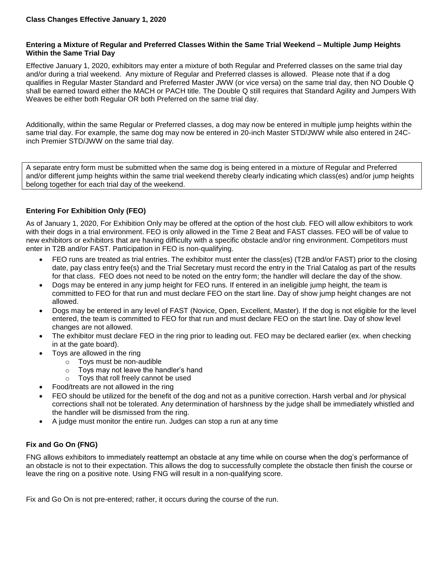## **Entering a Mixture of Regular and Preferred Classes Within the Same Trial Weekend – Multiple Jump Heights Within the Same Trial Day**

Effective January 1, 2020, exhibitors may enter a mixture of both Regular and Preferred classes on the same trial day and/or during a trial weekend. Any mixture of Regular and Preferred classes is allowed. Please note that if a dog qualifies in Regular Master Standard and Preferred Master JWW (or vice versa) on the same trial day, then NO Double Q shall be earned toward either the MACH or PACH title. The Double Q still requires that Standard Agility and Jumpers With Weaves be either both Regular OR both Preferred on the same trial day.

Additionally, within the same Regular or Preferred classes, a dog may now be entered in multiple jump heights within the same trial day. For example, the same dog may now be entered in 20-inch Master STD/JWW while also entered in 24Cinch Premier STD/JWW on the same trial day.

A separate entry form must be submitted when the same dog is being entered in a mixture of Regular and Preferred and/or different jump heights within the same trial weekend thereby clearly indicating which class(es) and/or jump heights belong together for each trial day of the weekend.

# **Entering For Exhibition Only (FEO)**

As of January 1, 2020, For Exhibition Only may be offered at the option of the host club. FEO will allow exhibitors to work with their dogs in a trial environment. FEO is only allowed in the Time 2 Beat and FAST classes. FEO will be of value to new exhibitors or exhibitors that are having difficulty with a specific obstacle and/or ring environment. Competitors must enter in T2B and/or FAST. Participation in FEO is non-qualifying.

- FEO runs are treated as trial entries. The exhibitor must enter the class(es) (T2B and/or FAST) prior to the closing date, pay class entry fee(s) and the Trial Secretary must record the entry in the Trial Catalog as part of the results for that class. FEO does not need to be noted on the entry form; the handler will declare the day of the show.
- Dogs may be entered in any jump height for FEO runs. If entered in an ineligible jump height, the team is committed to FEO for that run and must declare FEO on the start line. Day of show jump height changes are not allowed.
- Dogs may be entered in any level of FAST (Novice, Open, Excellent, Master). If the dog is not eligible for the level entered, the team is committed to FEO for that run and must declare FEO on the start line. Day of show level changes are not allowed.
- The exhibitor must declare FEO in the ring prior to leading out. FEO may be declared earlier (ex. when checking in at the gate board).
- Toys are allowed in the ring
	- o Toys must be non-audible
	- o Toys may not leave the handler's hand
	- o Toys that roll freely cannot be used
- Food/treats are not allowed in the ring
- FEO should be utilized for the benefit of the dog and not as a punitive correction. Harsh verbal and /or physical corrections shall not be tolerated. Any determination of harshness by the judge shall be immediately whistled and the handler will be dismissed from the ring.
- A judge must monitor the entire run. Judges can stop a run at any time

## **Fix and Go On (FNG)**

FNG allows exhibitors to immediately reattempt an obstacle at any time while on course when the dog's performance of an obstacle is not to their expectation. This allows the dog to successfully complete the obstacle then finish the course or leave the ring on a positive note. Using FNG will result in a non-qualifying score.

Fix and Go On is not pre-entered; rather, it occurs during the course of the run.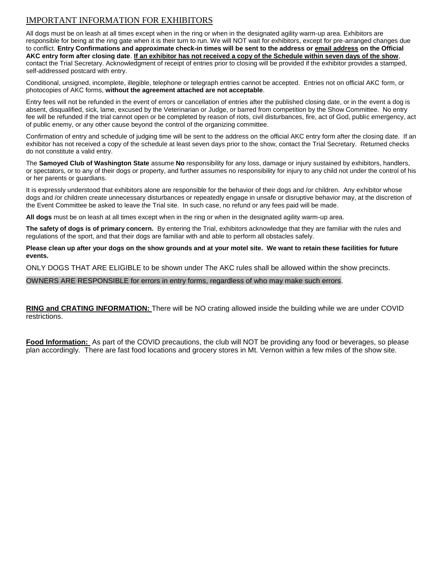# IMPORTANT INFORMATION FOR EXHIBITORS

All dogs must be on leash at all times except when in the ring or when in the designated agility warm-up area. Exhibitors are responsible for being at the ring gate when it is their turn to run. We will NOT wait for exhibitors, except for pre-arranged changes due to conflict. **Entry Confirmations and approximate check-in times will be sent to the address or email address on the Official AKC entry form after closing date**. **If an exhibitor has not received a copy of the Schedule within seven days of the show**, contact the Trial Secretary. Acknowledgment of receipt of entries prior to closing will be provided if the exhibitor provides a stamped, self-addressed postcard with entry.

Conditional, unsigned, incomplete, illegible, telephone or telegraph entries cannot be accepted. Entries not on official AKC form, or photocopies of AKC forms, **without the agreement attached are not acceptable**.

Entry fees will not be refunded in the event of errors or cancellation of entries after the published closing date, or in the event a dog is absent, disqualified, sick, lame, excused by the Veterinarian or Judge, or barred from competition by the Show Committee. No entry fee will be refunded if the trial cannot open or be completed by reason of riots, civil disturbances, fire, act of God, public emergency, act of public enemy, or any other cause beyond the control of the organizing committee.

Confirmation of entry and schedule of judging time will be sent to the address on the official AKC entry form after the closing date. If an exhibitor has not received a copy of the schedule at least seven days prior to the show, contact the Trial Secretary. Returned checks do not constitute a valid entry.

The **Samoyed Club of Washington State** assume **No** responsibility for any loss, damage or injury sustained by exhibitors, handlers, or spectators, or to any of their dogs or property, and further assumes no responsibility for injury to any child not under the control of his or her parents or guardians.

It is expressly understood that exhibitors alone are responsible for the behavior of their dogs and /or children. Any exhibitor whose dogs and /or children create unnecessary disturbances or repeatedly engage in unsafe or disruptive behavior may, at the discretion of the Event Committee be asked to leave the Trial site. In such case, no refund or any fees paid will be made.

**All dogs** must be on leash at all times except when in the ring or when in the designated agility warm-up area.

**The safety of dogs is of primary concern.** By entering the Trial, exhibitors acknowledge that they are familiar with the rules and regulations of the sport, and that their dogs are familiar with and able to perform all obstacles safely.

**Please clean up after your dogs on the show grounds and at your motel site. We want to retain these facilities for future events.**

ONLY DOGS THAT ARE ELIGIBLE to be shown under The AKC rules shall be allowed within the show precincts.

OWNERS ARE RESPONSIBLE for errors in entry forms, regardless of who may make such errors.

**RING and CRATING INFORMATION:** There will be NO crating allowed inside the building while we are under COVID restrictions.

**Food Information:** As part of the COVID precautions, the club will NOT be providing any food or beverages, so please plan accordingly. There are fast food locations and grocery stores in Mt. Vernon within a few miles of the show site.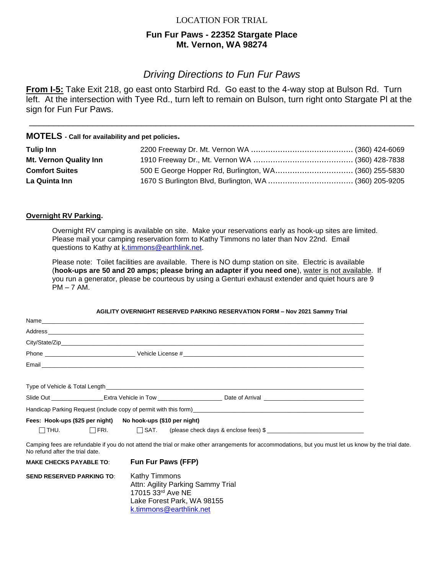# LOCATION FOR TRIAL

# **Fun Fur Paws - 22352 Stargate Place Mt. Vernon, WA 98274**

# *Driving Directions to Fun Fur Paws*

**From I-5:** Take Exit 218, go east onto Starbird Rd. Go east to the 4-way stop at Bulson Rd. Turn left. At the intersection with Tyee Rd., turn left to remain on Bulson, turn right onto Stargate Pl at the sign for Fun Fur Paws.

\_\_\_\_\_\_\_\_\_\_\_\_\_\_\_\_\_\_\_\_\_\_\_\_\_\_\_\_\_\_\_\_\_\_\_\_\_\_\_\_\_\_\_\_\_\_\_\_\_\_\_\_\_\_\_\_\_\_\_\_\_\_\_\_\_\_\_\_\_\_\_\_\_\_\_\_\_\_\_

# **MOTELS - Call for availability and pet policies.**

| <b>Tulip Inn</b>       |                                                       |  |
|------------------------|-------------------------------------------------------|--|
| Mt. Vernon Quality Inn |                                                       |  |
| <b>Comfort Suites</b>  | 500 E George Hopper Rd, Burlington, WA (360) 255-5830 |  |
| La Quinta Inn          |                                                       |  |

## **Overnight RV Parking.**

Overnight RV camping is available on site. Make your reservations early as hook-up sites are limited. Please mail your camping reservation form to Kathy Timmons no later than Nov 22nd. Email questions to Kathy at [k.timmons@earthlink.net.](mailto:k.timmons@earthlink.net)

Please note: Toilet facilities are available. There is NO dump station on site. Electric is available (**hook-ups are 50 and 20 amps; please bring an adapter if you need one**), water is not available. If you run a generator, please be courteous by using a Genturi exhaust extender and quiet hours are 9  $PM - 7 AM$ .

## **AGILITY OVERNIGHT RESERVED PARKING RESERVATION FORM – Nov 2021 Sammy Trial**

| Fees: Hook-ups (\$25 per night) No hook-ups (\$10 per night) |                                                                                                                                                       |  |
|--------------------------------------------------------------|-------------------------------------------------------------------------------------------------------------------------------------------------------|--|
|                                                              |                                                                                                                                                       |  |
| No refund after the trial date.                              | Camping fees are refundable if you do not attend the trial or make other arrangements for accommodations, but you must let us know by the trial date. |  |
| <b>MAKE CHECKS PAYABLE TO:</b>                               | <b>Fun Fur Paws (FFP)</b>                                                                                                                             |  |
| <b>SEND RESERVED PARKING TO:</b>                             | <b>Kathy Timmons</b><br>Attn: Agility Parking Sammy Trial<br>17015 33rd Ave NE                                                                        |  |

Lake Forest Park, WA 98155 [k.timmons@earthlink.net](mailto:k.timmons@earthlink.net)